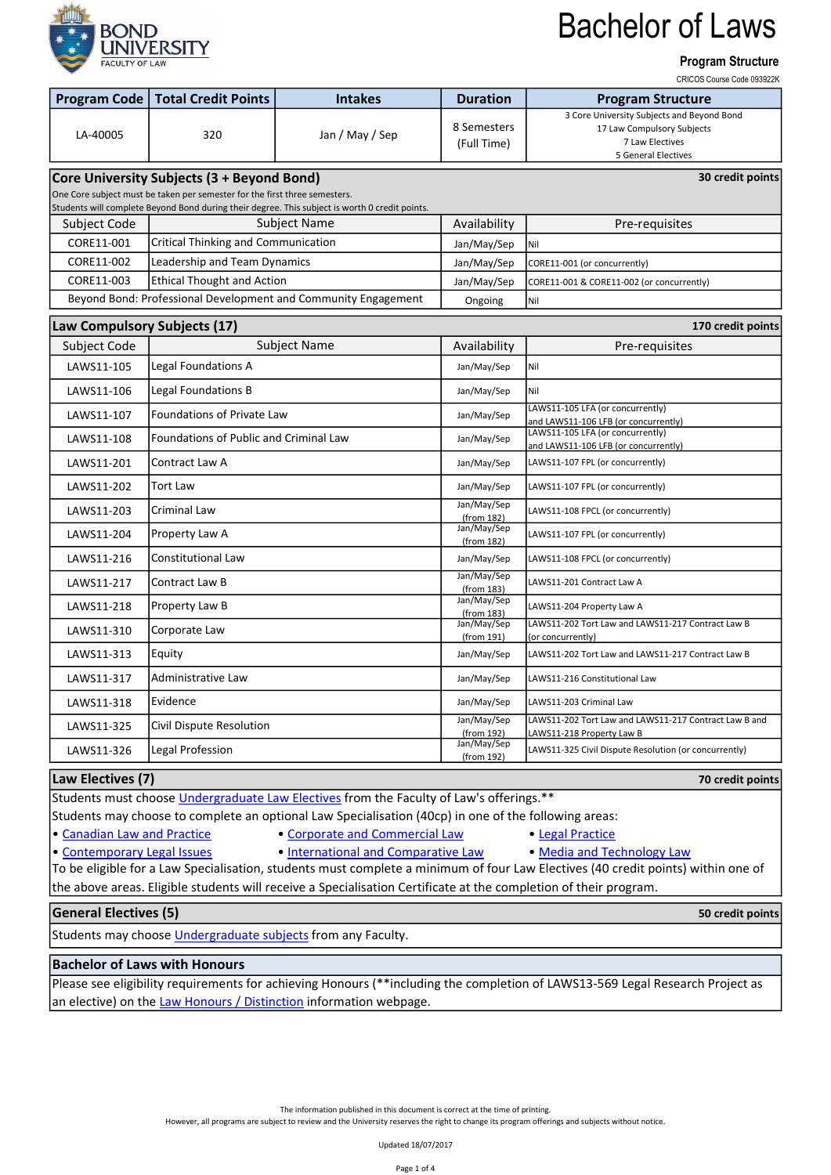

#### Program Structure

CRICOS Course Code 093922K

| <b>Program Code</b>                                                                                                                                                          | <b>Total Credit Points</b>                    | <b>Intakes</b>                                                 | <b>Duration</b>            | <b>Program Structure</b>                                                                                                  |  |  |  |  |
|------------------------------------------------------------------------------------------------------------------------------------------------------------------------------|-----------------------------------------------|----------------------------------------------------------------|----------------------------|---------------------------------------------------------------------------------------------------------------------------|--|--|--|--|
| LA-40005                                                                                                                                                                     | 320                                           | Jan / May / Sep                                                | 8 Semesters<br>(Full Time) | 3 Core University Subjects and Beyond Bond<br>17 Law Compulsory Subjects<br>7 Law Electives<br><b>5 General Electives</b> |  |  |  |  |
| Core University Subjects (3 + Beyond Bond)<br>30 credit points                                                                                                               |                                               |                                                                |                            |                                                                                                                           |  |  |  |  |
| One Core subject must be taken per semester for the first three semesters.<br>Students will complete Beyond Bond during their degree. This subject is worth 0 credit points. |                                               |                                                                |                            |                                                                                                                           |  |  |  |  |
| Subject Code                                                                                                                                                                 |                                               | Subject Name                                                   | Availability               | Pre-requisites                                                                                                            |  |  |  |  |
| CORE11-001                                                                                                                                                                   | Critical Thinking and Communication           |                                                                | Jan/May/Sep                | Nil                                                                                                                       |  |  |  |  |
| CORE11-002                                                                                                                                                                   | Leadership and Team Dynamics                  |                                                                | Jan/May/Sep                | CORE11-001 (or concurrently)                                                                                              |  |  |  |  |
| CORE11-003                                                                                                                                                                   | <b>Ethical Thought and Action</b>             |                                                                | Jan/May/Sep                | CORE11-001 & CORE11-002 (or concurrently)                                                                                 |  |  |  |  |
|                                                                                                                                                                              |                                               | Beyond Bond: Professional Development and Community Engagement | Ongoing                    | Nil                                                                                                                       |  |  |  |  |
| Law Compulsory Subjects (17)<br>170 credit points                                                                                                                            |                                               |                                                                |                            |                                                                                                                           |  |  |  |  |
| Subject Code                                                                                                                                                                 |                                               | Subject Name                                                   | Availability               | Pre-requisites                                                                                                            |  |  |  |  |
| LAWS11-105                                                                                                                                                                   | Legal Foundations A                           |                                                                | Jan/May/Sep                | Nil                                                                                                                       |  |  |  |  |
| LAWS11-106                                                                                                                                                                   | Legal Foundations B                           |                                                                | Jan/May/Sep                | Nil                                                                                                                       |  |  |  |  |
| LAWS11-107                                                                                                                                                                   | <b>Foundations of Private Law</b>             |                                                                | Jan/May/Sep                | LAWS11-105 LFA (or concurrently)<br>and LAWS11-106 LFB (or concurrently)                                                  |  |  |  |  |
| LAWS11-108                                                                                                                                                                   | <b>Foundations of Public and Criminal Law</b> |                                                                | Jan/May/Sep                | LAWS11-105 LFA (or concurrently)                                                                                          |  |  |  |  |
| LAWS11-201                                                                                                                                                                   | Contract Law A                                |                                                                | Jan/May/Sep                | and LAWS11-106 LFB (or concurrently)<br>LAWS11-107 FPL (or concurrently)                                                  |  |  |  |  |
| LAWS11-202                                                                                                                                                                   | Tort Law                                      |                                                                | Jan/May/Sep                | LAWS11-107 FPL (or concurrently)                                                                                          |  |  |  |  |
| LAWS11-203                                                                                                                                                                   | Criminal Law                                  |                                                                | Jan/May/Sep<br>(from 182)  | LAWS11-108 FPCL (or concurrently)                                                                                         |  |  |  |  |
| LAWS11-204                                                                                                                                                                   | Property Law A                                |                                                                | Jan/May/Sep<br>(from 182)  | LAWS11-107 FPL (or concurrently)                                                                                          |  |  |  |  |
| LAWS11-216                                                                                                                                                                   | <b>Constitutional Law</b>                     |                                                                | Jan/May/Sep                | LAWS11-108 FPCL (or concurrently)                                                                                         |  |  |  |  |
| LAWS11-217                                                                                                                                                                   | Contract Law B                                |                                                                | Jan/May/Sep<br>(from 183)  | LAWS11-201 Contract Law A                                                                                                 |  |  |  |  |
| LAWS11-218                                                                                                                                                                   | Property Law B                                |                                                                | Jan/May/Sep<br>(from 183)  | LAWS11-204 Property Law A                                                                                                 |  |  |  |  |
| LAWS11-310                                                                                                                                                                   | Corporate Law                                 |                                                                | Jan/May/Sep<br>(from 191)  | LAWS11-202 Tort Law and LAWS11-217 Contract Law B<br>(or concurrently)                                                    |  |  |  |  |
| LAWS11-313                                                                                                                                                                   | Equity                                        |                                                                | Jan/May/Sep                | LAWS11-202 Tort Law and LAWS11-217 Contract Law B                                                                         |  |  |  |  |
| LAWS11-317                                                                                                                                                                   | Administrative Law                            |                                                                | Jan/May/Sep                | LAWS11-216 Constitutional Law                                                                                             |  |  |  |  |
| LAWS11-318                                                                                                                                                                   | Evidence                                      |                                                                | Jan/May/Sep                | LAWS11-203 Criminal Law                                                                                                   |  |  |  |  |
| LAWS11-325                                                                                                                                                                   | Civil Dispute Resolution                      |                                                                | Jan/May/Sep<br>(from 192)  | LAWS11-202 Tort Law and LAWS11-217 Contract Law B and<br>LAWS11-218 Property Law B                                        |  |  |  |  |
| LAWS11-326                                                                                                                                                                   | Legal Profession                              |                                                                | Jan/May/Sep<br>(from 192)  | LAWS11-325 Civil Dispute Resolution (or concurrently)                                                                     |  |  |  |  |
| Law Electives (7)<br>70 credit points                                                                                                                                        |                                               |                                                                |                            |                                                                                                                           |  |  |  |  |
| Students must choose Undergraduate Law Electives from the Faculty of Law's offerings.**                                                                                      |                                               |                                                                |                            |                                                                                                                           |  |  |  |  |
| Students may choose to complete an optional Law Specialisation (40cp) in one of the following areas:                                                                         |                                               |                                                                |                            |                                                                                                                           |  |  |  |  |
| • Canadian Law and Practice<br>• Corporate and Commercial Law<br>• Legal Practice                                                                                            |                                               |                                                                |                            |                                                                                                                           |  |  |  |  |

- 
- 

• [Contemporary Legal Issues](https://bond.edu.au/subjects/current-law-specialisations-undergraduate#contemporary-legal-issues) • [International and Comparative Law](https://bond.edu.au/subjects/current-law-specialisations-undergraduate#international-comparative-law) • [Media and Technology Law](https://bond.edu.au/subjects/current-law-specialisations-undergraduate#media-technology-law) To be eligible for a Law Specialisation, students must complete a minimum of four Law Electives (40 credit points) within one of the above areas. Eligible students will receive a Specialisation Certificate at the completion of their program.

#### General Electives (5)

Students may choose *Undergraduate subjects* from any Faculty.

#### Bachelor of Laws with Honours

Please see eligibility requirements for achieving Honours (\*\*including the completion of LAWS13-569 Legal Research Project as an elective) on the [Law Honours / Distinction i](https://bond.edu.au/law-honours-distinction-information)nformation webpage.

The information published in this document is correct at the time of printing.

However, all programs are subject to review and the University reserves the right to change its program offerings and subjects without notice.

Updated 18/07/2017

50 credit points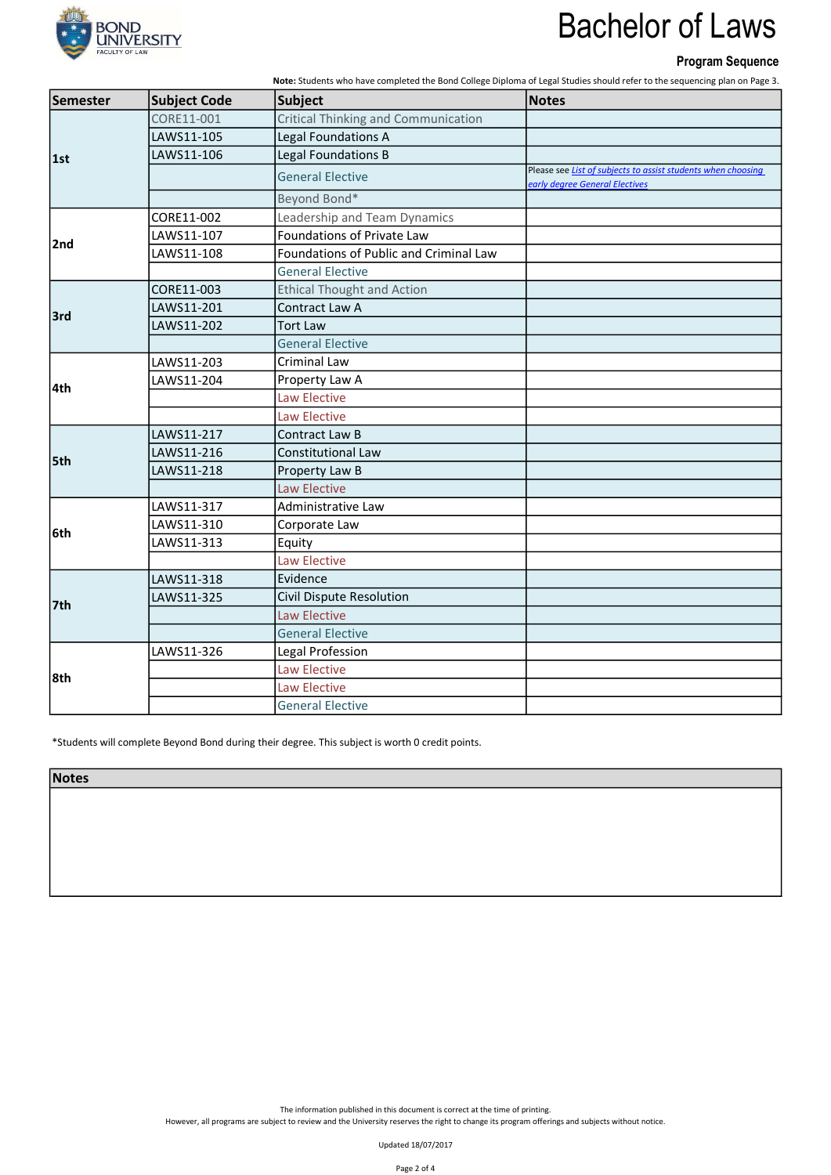

### Program Sequence

Note: Students who have completed the Bond College Diploma of Legal Studies should refer to the sequencing plan on Page 3.

| Semester | <b>Subject Code</b> | <b>Subject</b>                         | <b>Notes</b>                                                                                   |
|----------|---------------------|----------------------------------------|------------------------------------------------------------------------------------------------|
| 1st      | CORE11-001          | Critical Thinking and Communication    |                                                                                                |
|          | LAWS11-105          | Legal Foundations A                    |                                                                                                |
|          | LAWS11-106          | Legal Foundations B                    |                                                                                                |
|          |                     | <b>General Elective</b>                | Please see List of subjects to assist students when choosing<br>early degree General Electives |
|          |                     | Beyond Bond*                           |                                                                                                |
|          | CORE11-002          | Leadership and Team Dynamics           |                                                                                                |
| 2nd      | LAWS11-107          | Foundations of Private Law             |                                                                                                |
|          | LAWS11-108          | Foundations of Public and Criminal Law |                                                                                                |
|          |                     | <b>General Elective</b>                |                                                                                                |
|          | CORE11-003          | <b>Ethical Thought and Action</b>      |                                                                                                |
| 3rd      | LAWS11-201          | Contract Law A                         |                                                                                                |
|          | LAWS11-202          | <b>Tort Law</b>                        |                                                                                                |
|          |                     | <b>General Elective</b>                |                                                                                                |
|          | LAWS11-203          | <b>Criminal Law</b>                    |                                                                                                |
|          | LAWS11-204          | Property Law A                         |                                                                                                |
| 4th      |                     | Law Elective                           |                                                                                                |
|          |                     | Law Elective                           |                                                                                                |
|          | LAWS11-217          | Contract Law B                         |                                                                                                |
| 5th      | LAWS11-216          | <b>Constitutional Law</b>              |                                                                                                |
|          | LAWS11-218          | Property Law B                         |                                                                                                |
|          |                     | Law Elective                           |                                                                                                |
|          | LAWS11-317          | Administrative Law                     |                                                                                                |
|          | LAWS11-310          | Corporate Law                          |                                                                                                |
| l6th     | LAWS11-313          | Equity                                 |                                                                                                |
|          |                     | Law Elective                           |                                                                                                |
| 7th      | LAWS11-318          | Evidence                               |                                                                                                |
|          | LAWS11-325          | <b>Civil Dispute Resolution</b>        |                                                                                                |
|          |                     | Law Elective                           |                                                                                                |
|          |                     | <b>General Elective</b>                |                                                                                                |
| 8th      | LAWS11-326          | Legal Profession                       |                                                                                                |
|          |                     | Law Elective                           |                                                                                                |
|          |                     | Law Elective                           |                                                                                                |
|          |                     | <b>General Elective</b>                |                                                                                                |

\*Students will complete Beyond Bond during their degree. This subject is worth 0 credit points.

**Notes** 

The information published in this document is correct at the time of printing.

However, all programs are subject to review and the University reserves the right to change its program offerings and subjects without notice.

Updated 18/07/2017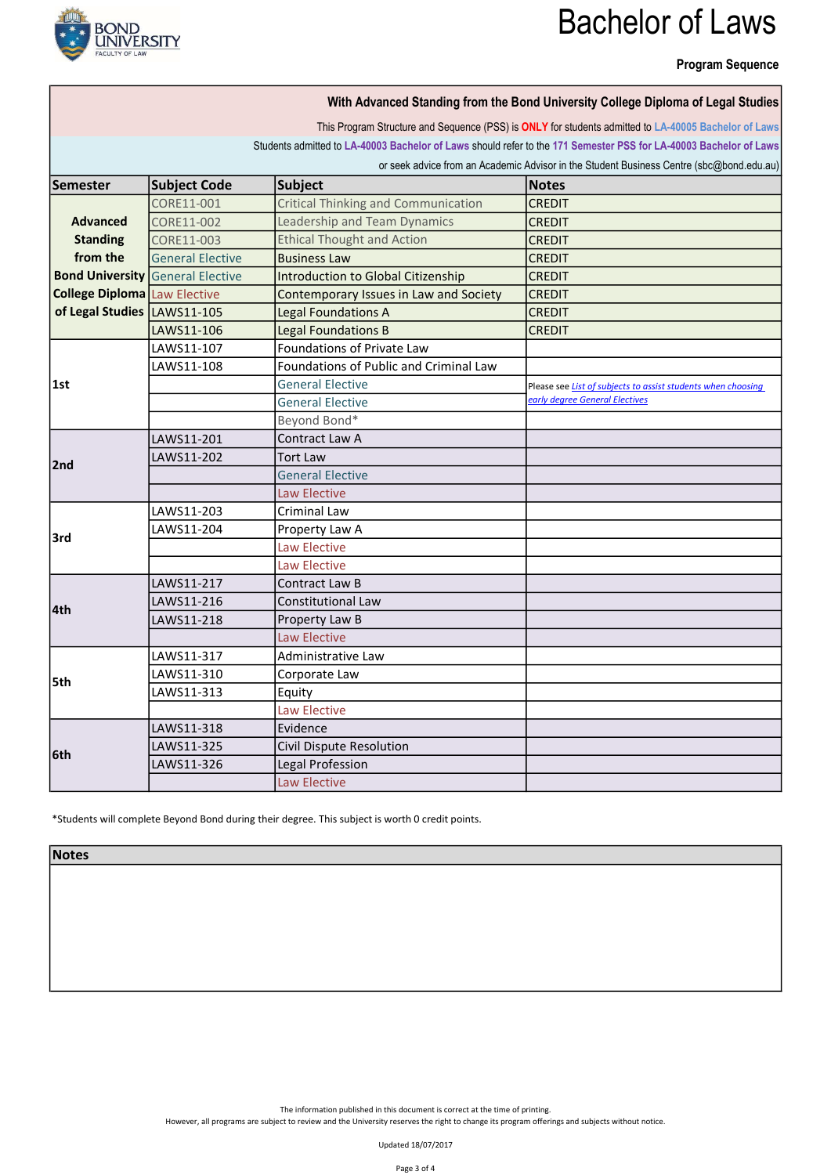

### Program Sequence

|                                     |                                         |                                               | With Advanced Standing from the Bond University College Diploma of Legal Studies                                                                                                                                          |
|-------------------------------------|-----------------------------------------|-----------------------------------------------|---------------------------------------------------------------------------------------------------------------------------------------------------------------------------------------------------------------------------|
|                                     |                                         |                                               | This Program Structure and Sequence (PSS) is ONLY for students admitted to LA-40005 Bachelor of Laws<br>Students admitted to LA-40003 Bachelor of Laws should refer to the 171 Semester PSS for LA-40003 Bachelor of Laws |
|                                     |                                         |                                               | or seek advice from an Academic Advisor in the Student Business Centre (sbc@bond.edu.au)                                                                                                                                  |
| <b>Semester</b>                     | <b>Subject Code</b>                     | <b>Subject</b>                                | <b>Notes</b>                                                                                                                                                                                                              |
| <b>Advanced</b>                     | CORE11-001                              | <b>Critical Thinking and Communication</b>    | <b>CREDIT</b>                                                                                                                                                                                                             |
|                                     | CORE11-002                              | Leadership and Team Dynamics                  | <b>CREDIT</b>                                                                                                                                                                                                             |
| <b>Standing</b>                     | CORE11-003                              | <b>Ethical Thought and Action</b>             | <b>CREDIT</b>                                                                                                                                                                                                             |
| from the                            | <b>General Elective</b>                 | <b>Business Law</b>                           | CREDIT                                                                                                                                                                                                                    |
|                                     | <b>Bond University General Elective</b> | <b>Introduction to Global Citizenship</b>     | CREDIT                                                                                                                                                                                                                    |
| <b>College Diploma</b> Law Elective |                                         | Contemporary Issues in Law and Society        | <b>CREDIT</b>                                                                                                                                                                                                             |
| of Legal Studies LAWS11-105         |                                         | <b>Legal Foundations A</b>                    | <b>CREDIT</b>                                                                                                                                                                                                             |
|                                     | LAWS11-106                              | <b>Legal Foundations B</b>                    | <b>CREDIT</b>                                                                                                                                                                                                             |
|                                     | LAWS11-107                              | Foundations of Private Law                    |                                                                                                                                                                                                                           |
|                                     | LAWS11-108                              | <b>Foundations of Public and Criminal Law</b> |                                                                                                                                                                                                                           |
| 1st                                 |                                         | <b>General Elective</b>                       | Please see List of subjects to assist students when choosing                                                                                                                                                              |
|                                     |                                         | <b>General Elective</b>                       | early degree General Electives                                                                                                                                                                                            |
|                                     |                                         | Beyond Bond*                                  |                                                                                                                                                                                                                           |
|                                     | LAWS11-201                              | Contract Law A                                |                                                                                                                                                                                                                           |
|                                     | LAWS11-202                              | <b>Tort Law</b>                               |                                                                                                                                                                                                                           |
| 2nd                                 |                                         | <b>General Elective</b>                       |                                                                                                                                                                                                                           |
|                                     |                                         | <b>Law Elective</b>                           |                                                                                                                                                                                                                           |
|                                     | LAWS11-203                              | Criminal Law                                  |                                                                                                                                                                                                                           |
|                                     | LAWS11-204                              | Property Law A                                |                                                                                                                                                                                                                           |
| l3rd                                |                                         | <b>Law Elective</b>                           |                                                                                                                                                                                                                           |
|                                     |                                         | Law Elective                                  |                                                                                                                                                                                                                           |
|                                     | LAWS11-217                              | Contract Law B                                |                                                                                                                                                                                                                           |
|                                     | LAWS11-216                              | <b>Constitutional Law</b>                     |                                                                                                                                                                                                                           |
| l4th                                | LAWS11-218                              | Property Law B                                |                                                                                                                                                                                                                           |
|                                     |                                         | <b>Law Elective</b>                           |                                                                                                                                                                                                                           |
| 5th                                 | LAWS11-317                              | Administrative Law                            |                                                                                                                                                                                                                           |
|                                     | LAWS11-310                              | Corporate Law                                 |                                                                                                                                                                                                                           |
|                                     | LAWS11-313                              | Equity                                        |                                                                                                                                                                                                                           |
|                                     |                                         | Law Elective                                  |                                                                                                                                                                                                                           |
| l6th                                | LAWS11-318                              | Evidence                                      |                                                                                                                                                                                                                           |
|                                     | LAWS11-325                              | Civil Dispute Resolution                      |                                                                                                                                                                                                                           |
|                                     | LAWS11-326                              | Legal Profession                              |                                                                                                                                                                                                                           |
|                                     |                                         | <b>Law Elective</b>                           |                                                                                                                                                                                                                           |

\*Students will complete Beyond Bond during their degree. This subject is worth 0 credit points.

Notes

The information published in this document is correct at the time of printing.

However, all programs are subject to review and the University reserves the right to change its program offerings and subjects without notice.

Updated 18/07/2017